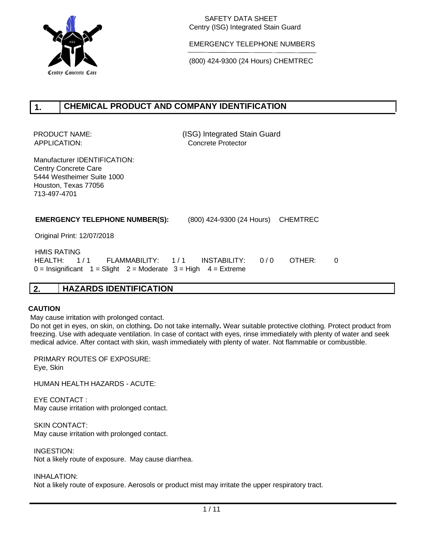

EMERGENCY TELEPHONE NUMBERS

(800) 424-9300 (24 Hours) CHEMTREC

#### **CHEMICAL PRODUCT AND COMPANY IDENTIFICATION 1.**

PRODUCT NAME: (ISG) Integrated Stain Guard APPLICATION: Concrete Protector

Manufacturer IDENTIFICATION: Centry Concrete Care 5444 Westheimer Suite 1000 Houston, Texas 77056 713-497-4701

#### **EMERGENCY TELEPHONE NUMBER(S):** (800) 424-9300 (24 Hours) CHEMTREC

Original Print: 12/07/2018

 HMIS RATING HEALTH: 1/1 FLAMMABILITY: 1/1 INSTABILITY: 0/0 OTHER: 0  $0 =$  Insignificant  $1 =$  Slight  $2 =$  Moderate  $3 =$  High  $4 =$  Extreme

## **2. HAZARDS IDENTIFICATION**

#### **CAUTION**

May cause irritation with prolonged contact.

Do not get in eyes, on skin, on clothing**.** Do not take internally**.** Wear suitable protective clothing. Protect product from freezing. Use with adequate ventilation. In case of contact with eyes, rinse immediately with plenty of water and seek medical advice. After contact with skin, wash immediately with plenty of water. Not flammable or combustible.

PRIMARY ROUTES OF EXPOSURE: Eye, Skin

HUMAN HEALTH HAZARDS - ACUTE:

EYE CONTACT : May cause irritation with prolonged contact.

SKIN CONTACT: May cause irritation with prolonged contact.

INGESTION: Not a likely route of exposure. May cause diarrhea.

INHALATION:

Not a likely route of exposure. Aerosols or product mist may irritate the upper respiratory tract.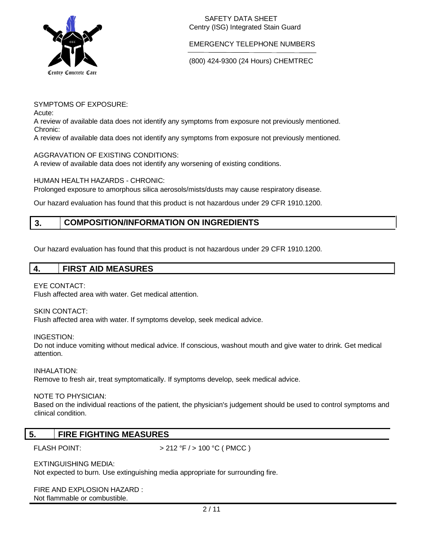

EMERGENCY TELEPHONE NUMBERS

(800) 424-9300 (24 Hours) CHEMTREC

SYMPTOMS OF EXPOSURE:

Acute:

A review of available data does not identify any symptoms from exposure not previously mentioned. Chronic:

A review of available data does not identify any symptoms from exposure not previously mentioned.

### AGGRAVATION OF EXISTING CONDITIONS:

A review of available data does not identify any worsening of existing conditions.

### HUMAN HEALTH HAZARDS - CHRONIC:

Prolonged exposure to amorphous silica aerosols/mists/dusts may cause respiratory disease.

Our hazard evaluation has found that this product is not hazardous under 29 CFR 1910.1200.

#### **COMPOSITION/INFORMATION ON INGREDIENTS 3.**

Our hazard evaluation has found that this product is not hazardous under 29 CFR 1910.1200.

|  |  |  | <b>FIRST AID MEASURES</b> |
|--|--|--|---------------------------|
|--|--|--|---------------------------|

#### EYE CONTACT:

Flush affected area with water. Get medical attention.

### SKIN CONTACT:

Flush affected area with water. If symptoms develop, seek medical advice.

INGESTION:

Do not induce vomiting without medical advice. If conscious, washout mouth and give water to drink. Get medical attention.

INHALATION:

Remove to fresh air, treat symptomatically. If symptoms develop, seek medical advice.

#### NOTE TO PHYSICIAN:

Based on the individual reactions of the patient, the physician's judgement should be used to control symptoms and clinical condition.

## **5. FIRE FIGHTING MEASURES**

FLASH POINT:  $> 212 °F / > 100 °C$  (PMCC)

EXTINGUISHING MEDIA:

Not expected to burn. Use extinguishing media appropriate for surrounding fire.

FIRE AND EXPLOSION HAZARD : Not flammable or combustible.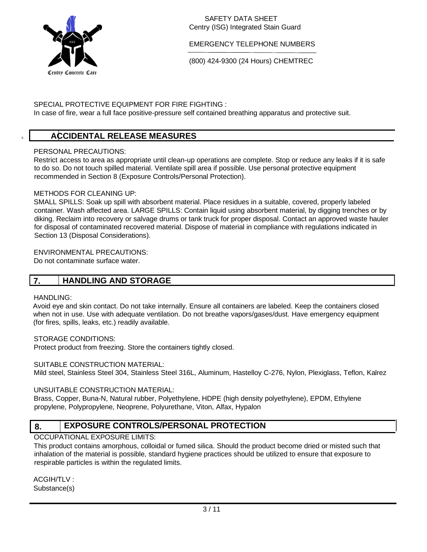

EMERGENCY TELEPHONE NUMBERS

(800) 424-9300 (24 Hours) CHEMTREC

### SPECIAL PROTECTIVE EQUIPMENT FOR FIRE FIGHTING :

In case of fire, wear a full face positive-pressure self contained breathing apparatus and protective suit.

## 6. **ACCIDENTAL RELEASE MEASURES**

### PERSONAL PRECAUTIONS:

Restrict access to area as appropriate until clean-up operations are complete. Stop or reduce any leaks if it is safe to do so. Do not touch spilled material. Ventilate spill area if possible. Use personal protective equipment recommended in Section 8 (Exposure Controls/Personal Protection).

### METHODS FOR CLEANING UP:

SMALL SPILLS: Soak up spill with absorbent material. Place residues in a suitable, covered, properly labeled container. Wash affected area. LARGE SPILLS: Contain liquid using absorbent material, by digging trenches or by diking. Reclaim into recovery or salvage drums or tank truck for proper disposal. Contact an approved waste hauler for disposal of contaminated recovered material. Dispose of material in compliance with regulations indicated in Section 13 (Disposal Considerations).

#### ENVIRONMENTAL PRECAUTIONS:

Do not contaminate surface water.

## **7. HANDLING AND STORAGE**

#### HANDLING:

Avoid eye and skin contact. Do not take internally. Ensure all containers are labeled. Keep the containers closed when not in use. Use with adequate ventilation. Do not breathe vapors/gases/dust. Have emergency equipment (for fires, spills, leaks, etc.) readily available.

#### STORAGE CONDITIONS:

Protect product from freezing. Store the containers tightly closed.

#### SUITABLE CONSTRUCTION MATERIAL:

Mild steel, Stainless Steel 304, Stainless Steel 316L, Aluminum, Hastelloy C-276, Nylon, Plexiglass, Teflon, Kalrez

#### UNSUITABLE CONSTRUCTION MATERIAL:

Brass, Copper, Buna-N, Natural rubber, Polyethylene, HDPE (high density polyethylene), EPDM, Ethylene propylene, Polypropylene, Neoprene, Polyurethane, Viton, Alfax, Hypalon

#### **EXPOSURE CONTROLS/PERSONAL PROTECTION 8.**

### OCCUPATIONAL EXPOSURE LIMITS:

This product contains amorphous, colloidal or fumed silica. Should the product become dried or misted such that inhalation of the material is possible, standard hygiene practices should be utilized to ensure that exposure to respirable particles is within the regulated limits.

ACGIH/TLV : Substance(s)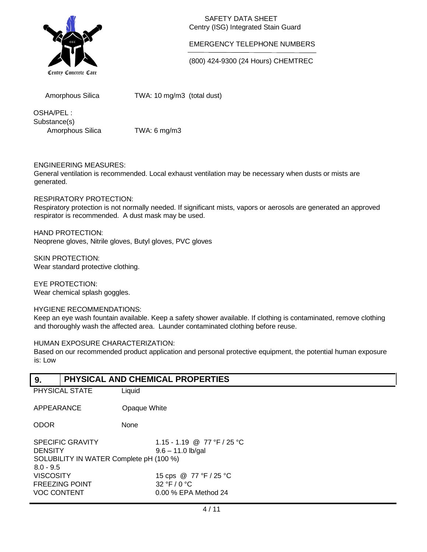

#### EMERGENCY TELEPHONE NUMBERS

(800) 424-9300 (24 Hours) CHEMTREC

Amorphous Silica

TWA: 10 mg/m3 (total dust)

OSHA/PEL : Substance(s) Amorphous Silica TWA: 6 mg/m3

### ENGINEERING MEASURES:

General ventilation is recommended. Local exhaust ventilation may be necessary when dusts or mists are generated.

### RESPIRATORY PROTECTION:

Respiratory protection is not normally needed. If significant mists, vapors or aerosols are generated an approved respirator is recommended. A dust mask may be used.

HAND PROTECTION: Neoprene gloves, Nitrile gloves, Butyl gloves, PVC gloves

SKIN PROTECTION: Wear standard protective clothing.

EYE PROTECTION: Wear chemical splash goggles.

#### HYGIENE RECOMMENDATIONS:

Keep an eye wash fountain available. Keep a safety shower available. If clothing is contaminated, remove clothing and thoroughly wash the affected area. Launder contaminated clothing before reuse.

#### HUMAN EXPOSURE CHARACTERIZATION:

Based on our recommended product application and personal protective equipment, the potential human exposure is: Low

#### **PHYSICAL AND CHEMICAL PROPERTIES 9.**

| J.             |                                                    |                                                                   |  |
|----------------|----------------------------------------------------|-------------------------------------------------------------------|--|
| PHYSICAL STATE |                                                    | Liquid                                                            |  |
| APPEARANCE     |                                                    | Opaque White                                                      |  |
| <b>ODOR</b>    |                                                    | None                                                              |  |
| <b>DENSITY</b> | <b>SPECIFIC GRAVITY</b><br>_______________________ | 1.15 - 1.19 @ 77 °F / 25 °C<br>$9.6 - 11.0$ lb/gal<br>1.1.1.00001 |  |

SOLUBILITY IN WATER Complete pH (100 %) 8.0 - 9.5 VISCOSITY 15 cps @ 77 °F / 25 °C FREEZING POINT 32 °F / 0 °C VOC CONTENT 0.00 % EPA Method 24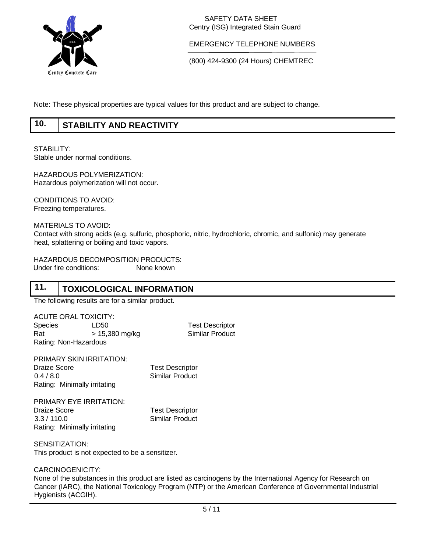

EMERGENCY TELEPHONE NUMBERS

(800) 424-9300 (24 Hours) CHEMTREC

Note: These physical properties are typical values for this product and are subject to change.

#### **10. STABILITY AND REACTIVITY**

STABILITY:

Stable under normal conditions.

HAZARDOUS POLYMERIZATION: Hazardous polymerization will not occur.

CONDITIONS TO AVOID: Freezing temperatures.

MATERIALS TO AVOID:

Contact with strong acids (e.g. sulfuric, phosphoric, nitric, hydrochloric, chromic, and sulfonic) may generate heat, splattering or boiling and toxic vapors.

HAZARDOUS DECOMPOSITION PRODUCTS: Under fire conditions: None known

#### **11. TOXICOLOGICAL INFORMATION**

The following results are for a similar product.

ACUTE ORAL TOXICITY: Species LD50 Test Descriptor Rat > 15,380 mg/kg Similar Product Rating: Non-Hazardous

PRIMARY SKIN IRRITATION: Draize Score **Test Descriptor** 0.4 / 8.0 Similar Product Rating: Minimally irritating

PRIMARY EYE IRRITATION: Draize Score **Test Descriptor** 3.3 / 110.0 Similar Product Rating: Minimally irritating

SENSITIZATION: This product is not expected to be a sensitizer.

CARCINOGENICITY:

None of the substances in this product are listed as carcinogens by the International Agency for Research on Cancer (IARC), the National Toxicology Program (NTP) or the American Conference of Governmental Industrial Hygienists (ACGIH).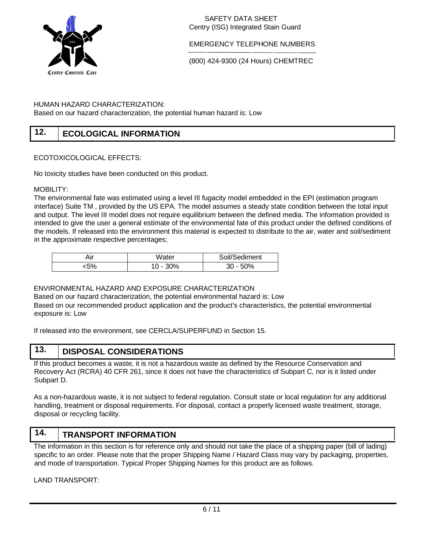

#### EMERGENCY TELEPHONE NUMBERS

(800) 424-9300 (24 Hours) CHEMTREC

#### HUMAN HAZARD CHARACTERIZATION:

Based on our hazard characterization, the potential human hazard is: Low

#### **12. ECOLOGICAL INFORMATION**

#### ECOTOXICOLOGICAL EFFECTS:

No toxicity studies have been conducted on this product.

#### MOBILITY:

The environmental fate was estimated using a level III fugacity model embedded in the EPI (estimation program interface) Suite TM , provided by the US EPA. The model assumes a steady state condition between the total input and output. The level III model does not require equilibrium between the defined media. The information provided is intended to give the user a general estimate of the environmental fate of this product under the defined conditions of the models. If released into the environment this material is expected to distribute to the air, water and soil/sediment in the approximate respective percentages;

| ۸ır | Water | Soil/Sediment |
|-----|-------|---------------|
| 507 | ገ%    | 0%            |

#### ENVIRONMENTAL HAZARD AND EXPOSURE CHARACTERIZATION

Based on our hazard characterization, the potential environmental hazard is: Low Based on our recommended product application and the product's characteristics, the potential environmental exposure is: Low

If released into the environment, see CERCLA/SUPERFUND in Section 15.

#### **13. DISPOSAL CONSIDERATIONS**

If this product becomes a waste, it is not a hazardous waste as defined by the Resource Conservation and Recovery Act (RCRA) 40 CFR 261, since it does not have the characteristics of Subpart C, nor is it listed under Subpart D.

As a non-hazardous waste, it is not subject to federal regulation. Consult state or local regulation for any additional handling, treatment or disposal requirements. For disposal, contact a properly licensed waste treatment, storage, disposal or recycling facility.

#### **14. TRANSPORT INFORMATION**

The information in this section is for reference only and should not take the place of a shipping paper (bill of lading) specific to an order. Please note that the proper Shipping Name / Hazard Class may vary by packaging, properties, and mode of transportation. Typical Proper Shipping Names for this product are as follows.

LAND TRANSPORT: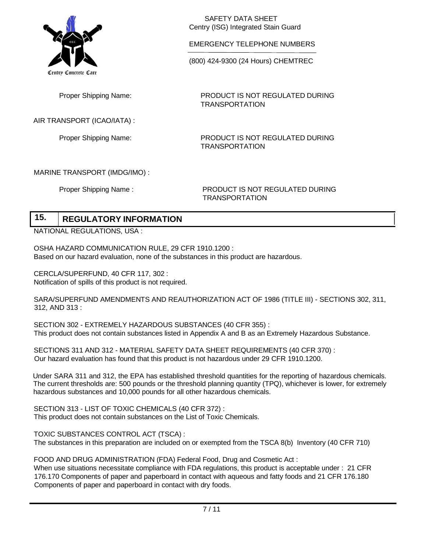

EMERGENCY TELEPHONE NUMBERS

(800) 424-9300 (24 Hours) CHEMTREC

TRANSPORTATION

TRANSPORTATION

Proper Shipping Name:

AIR TRANSPORT (ICAO/IATA) :

Proper Shipping Name: PRODUCT IS NOT REGULATED DURING

PRODUCT IS NOT REGULATED DURING

### MARINE TRANSPORT (IMDG/IMO) :

Proper Shipping Name : PRODUCT IS NOT REGULATED DURING TRANSPORTATION

#### **15. REGULATORY INFORMATION**

NATIONAL REGULATIONS, USA :

OSHA HAZARD COMMUNICATION RULE, 29 CFR 1910.1200 : Based on our hazard evaluation, none of the substances in this product are hazardous.

CERCLA/SUPERFUND, 40 CFR 117, 302 : Notification of spills of this product is not required.

SARA/SUPERFUND AMENDMENTS AND REAUTHORIZATION ACT OF 1986 (TITLE III) - SECTIONS 302, 311, 312, AND 313 :

SECTION 302 - EXTREMELY HAZARDOUS SUBSTANCES (40 CFR 355) : This product does not contain substances listed in Appendix A and B as an Extremely Hazardous Substance.

SECTIONS 311 AND 312 - MATERIAL SAFETY DATA SHEET REQUIREMENTS (40 CFR 370) : Our hazard evaluation has found that this product is not hazardous under 29 CFR 1910.1200.

Under SARA 311 and 312, the EPA has established threshold quantities for the reporting of hazardous chemicals. The current thresholds are: 500 pounds or the threshold planning quantity (TPQ), whichever is lower, for extremely hazardous substances and 10,000 pounds for all other hazardous chemicals.

SECTION 313 - LIST OF TOXIC CHEMICALS (40 CFR 372) : This product does not contain substances on the List of Toxic Chemicals.

TOXIC SUBSTANCES CONTROL ACT (TSCA) : The substances in this preparation are included on or exempted from the TSCA 8(b) Inventory (40 CFR 710)

FOOD AND DRUG ADMINISTRATION (FDA) Federal Food, Drug and Cosmetic Act :

When use situations necessitate compliance with FDA regulations, this product is acceptable under : 21 CFR 176.170 Components of paper and paperboard in contact with aqueous and fatty foods and 21 CFR 176.180 Components of paper and paperboard in contact with dry foods.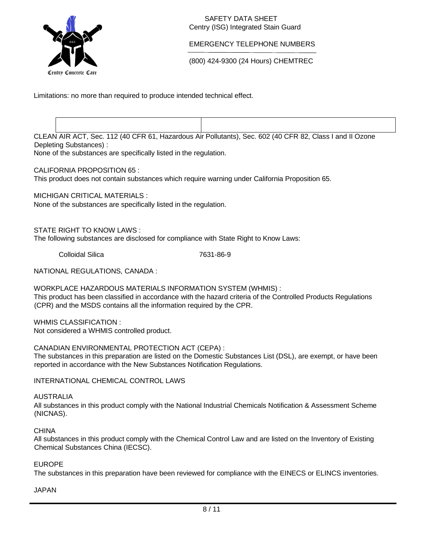

### EMERGENCY TELEPHONE NUMBERS

(800) 424-9300 (24 Hours) CHEMTREC

Limitations: no more than required to produce intended technical effect.

CLEAN AIR ACT, Sec. 112 (40 CFR 61, Hazardous Air Pollutants), Sec. 602 (40 CFR 82, Class I and II Ozone Depleting Substances) :

None of the substances are specifically listed in the regulation.

### CALIFORNIA PROPOSITION 65 :

This product does not contain substances which require warning under California Proposition 65.

MICHIGAN CRITICAL MATERIALS :

None of the substances are specifically listed in the regulation.

STATE RIGHT TO KNOW LAWS :

The following substances are disclosed for compliance with State Right to Know Laws:

Colloidal Silica 7631-86-9

NATIONAL REGULATIONS, CANADA :

WORKPLACE HAZARDOUS MATERIALS INFORMATION SYSTEM (WHMIS) : This product has been classified in accordance with the hazard criteria of the Controlled Products Regulations (CPR) and the MSDS contains all the information required by the CPR.

WHMIS CLASSIFICATION : Not considered a WHMIS controlled product.

CANADIAN ENVIRONMENTAL PROTECTION ACT (CEPA) :

The substances in this preparation are listed on the Domestic Substances List (DSL), are exempt, or have been reported in accordance with the New Substances Notification Regulations.

INTERNATIONAL CHEMICAL CONTROL LAWS

AUSTRALIA

All substances in this product comply with the National Industrial Chemicals Notification & Assessment Scheme (NICNAS).

**CHINA** 

All substances in this product comply with the Chemical Control Law and are listed on the Inventory of Existing Chemical Substances China (IECSC).

### EUROPE

The substances in this preparation have been reviewed for compliance with the EINECS or ELINCS inventories.

JAPAN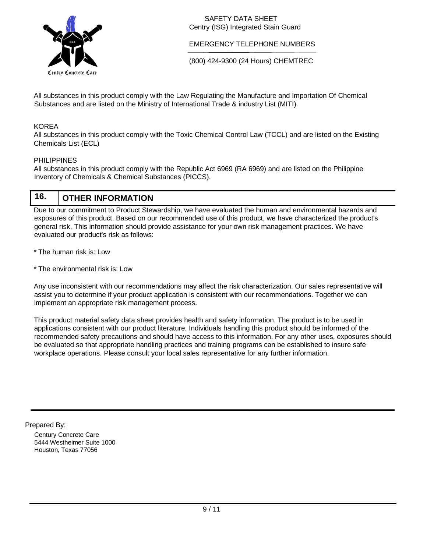

EMERGENCY TELEPHONE NUMBERS

(800) 424-9300 (24 Hours) CHEMTREC

All substances in this product comply with the Law Regulating the Manufacture and Importation Of Chemical Substances and are listed on the Ministry of International Trade & industry List (MITI).

### KOREA

All substances in this product comply with the Toxic Chemical Control Law (TCCL) and are listed on the Existing Chemicals List (ECL)

#### PHILIPPINES

All substances in this product comply with the Republic Act 6969 (RA 6969) and are listed on the Philippine Inventory of Chemicals & Chemical Substances (PICCS).

#### **16. OTHER INFORMATION**

Due to our commitment to Product Stewardship, we have evaluated the human and environmental hazards and exposures of this product. Based on our recommended use of this product, we have characterized the product's general risk. This information should provide assistance for your own risk management practices. We have evaluated our product's risk as follows:

- \* The human risk is: Low
- \* The environmental risk is: Low

Any use inconsistent with our recommendations may affect the risk characterization. Our sales representative will assist you to determine if your product application is consistent with our recommendations. Together we can implement an appropriate risk management process.

This product material safety data sheet provides health and safety information. The product is to be used in applications consistent with our product literature. Individuals handling this product should be informed of the recommended safety precautions and should have access to this information. For any other uses, exposures should be evaluated so that appropriate handling practices and training programs can be established to insure safe workplace operations. Please consult your local sales representative for any further information.

Prepared By:

Century Concrete Care 5444 Westheimer Suite 1000 Houston, Texas 77056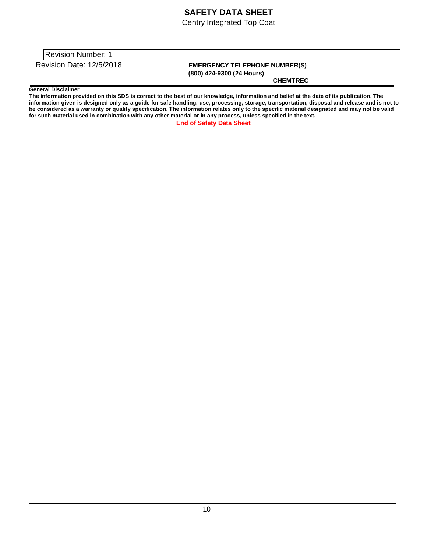## **SAFETY DATA SHEET**

Centry Integrated Top Coat

Revision Number: 1

Revision Date: 12/5/2018 **EMERGENCY TELEPHONE NUMBER(S)** 

**(800) 424-9300 (24 Hours)** 

**CHEMTREC**

#### **General Disclaimer**

**The information provided on this SDS is correct to the best of our knowledge, information and belief at the date of its publication. The information given is designed only as a guide for safe handling, use, processing, storage, transportation, disposal and release and is not to be considered as a warranty or quality specification. The information relates only to the specific material designated and may not be valid for such material used in combination with any other material or in any process, unless specified in the text. End of Safety Data Sheet**